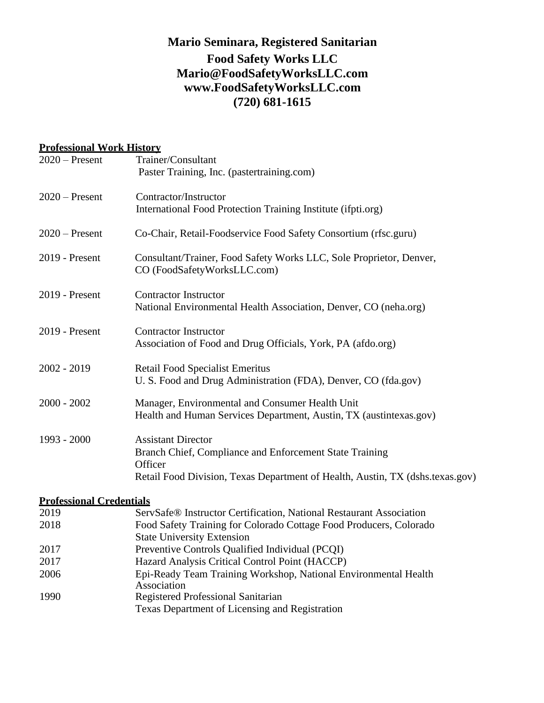# **Mario Seminara, Registered Sanitarian Food Safety Works LLC [Mario@FoodSafetyWorksLLC.com](about:blank) [www.FoodSafetyWorksLLC.com](about:blank) (720) 681-1615**

### **Professional Work History**

| $2020$ – Present | Trainer/Consultant<br>Paster Training, Inc. (pastertraining.com)                                                                                                                 |
|------------------|----------------------------------------------------------------------------------------------------------------------------------------------------------------------------------|
| $2020$ – Present | Contractor/Instructor<br>International Food Protection Training Institute (ifpti.org)                                                                                            |
| $2020$ – Present | Co-Chair, Retail-Foodservice Food Safety Consortium (rfsc.guru)                                                                                                                  |
| 2019 - Present   | Consultant/Trainer, Food Safety Works LLC, Sole Proprietor, Denver,<br>CO (FoodSafetyWorksLLC.com)                                                                               |
| 2019 - Present   | <b>Contractor Instructor</b><br>National Environmental Health Association, Denver, CO (neha.org)                                                                                 |
| 2019 - Present   | <b>Contractor Instructor</b><br>Association of Food and Drug Officials, York, PA (afdo.org)                                                                                      |
| 2002 - 2019      | <b>Retail Food Specialist Emeritus</b><br>U. S. Food and Drug Administration (FDA), Denver, CO (fda.gov)                                                                         |
| $2000 - 2002$    | Manager, Environmental and Consumer Health Unit<br>Health and Human Services Department, Austin, TX (austintexas.gov)                                                            |
| $1993 - 2000$    | <b>Assistant Director</b><br>Branch Chief, Compliance and Enforcement State Training<br>Officer<br>Retail Food Division, Texas Department of Health, Austin, TX (dshs.texas.gov) |

#### **Professional Credentials**

| 2019 | ServSafe <sup>®</sup> Instructor Certification, National Restaurant Association |
|------|---------------------------------------------------------------------------------|
| 2018 | Food Safety Training for Colorado Cottage Food Producers, Colorado              |
|      | <b>State University Extension</b>                                               |
| 2017 | Preventive Controls Qualified Individual (PCQI)                                 |
| 2017 | Hazard Analysis Critical Control Point (HACCP)                                  |
| 2006 | Epi-Ready Team Training Workshop, National Environmental Health                 |
|      | Association                                                                     |
| 1990 | Registered Professional Sanitarian                                              |
|      | Texas Department of Licensing and Registration                                  |